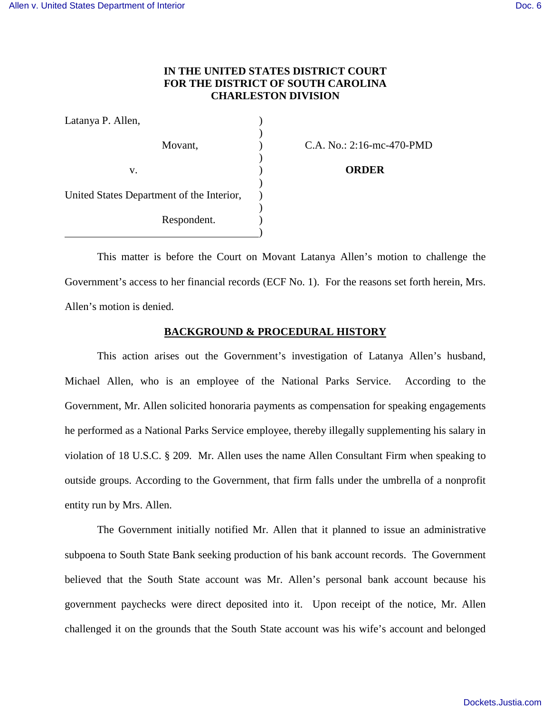# **IN THE UNITED STATES DISTRICT COURT FOR THE DISTRICT OF SOUTH CAROLINA CHARLESTON DIVISION**

| Latanya P. Allen,                         |  |
|-------------------------------------------|--|
|                                           |  |
| Movant,                                   |  |
|                                           |  |
| V.                                        |  |
|                                           |  |
| United States Department of the Interior, |  |
| Respondent.                               |  |
|                                           |  |

C.A. No.: 2:16-mc-470-PMD

v. ) **ORDER** 

This matter is before the Court on Movant Latanya Allen's motion to challenge the Government's access to her financial records (ECF No. 1). For the reasons set forth herein, Mrs. Allen's motion is denied.

## **BACKGROUND & PROCEDURAL HISTORY**

This action arises out the Government's investigation of Latanya Allen's husband, Michael Allen, who is an employee of the National Parks Service. According to the Government, Mr. Allen solicited honoraria payments as compensation for speaking engagements he performed as a National Parks Service employee, thereby illegally supplementing his salary in violation of 18 U.S.C. § 209. Mr. Allen uses the name Allen Consultant Firm when speaking to outside groups. According to the Government, that firm falls under the umbrella of a nonprofit entity run by Mrs. Allen.

The Government initially notified Mr. Allen that it planned to issue an administrative subpoena to South State Bank seeking production of his bank account records. The Government believed that the South State account was Mr. Allen's personal bank account because his government paychecks were direct deposited into it. Upon receipt of the notice, Mr. Allen challenged it on the grounds that the South State account was his wife's account and belonged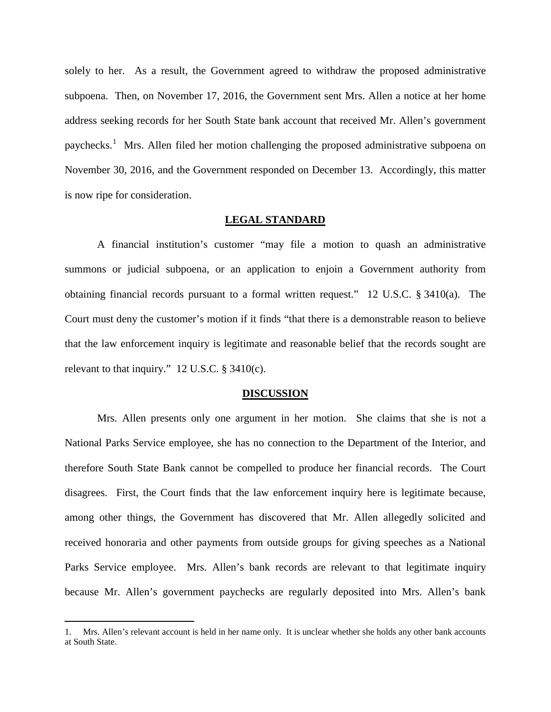solely to her. As a result, the Government agreed to withdraw the proposed administrative subpoena. Then, on November 17, 2016, the Government sent Mrs. Allen a notice at her home address seeking records for her South State bank account that received Mr. Allen's government paychecks.<sup>[1](#page-1-0)</sup> Mrs. Allen filed her motion challenging the proposed administrative subpoena on November 30, 2016, and the Government responded on December 13. Accordingly, this matter is now ripe for consideration.

#### **LEGAL STANDARD**

 A financial institution's customer "may file a motion to quash an administrative summons or judicial subpoena, or an application to enjoin a Government authority from obtaining financial records pursuant to a formal written request." 12 U.S.C. § 3410(a). The Court must deny the customer's motion if it finds "that there is a demonstrable reason to believe that the law enforcement inquiry is legitimate and reasonable belief that the records sought are relevant to that inquiry."  $12$  U.S.C. § 3410(c).

#### **DISCUSSION**

Mrs. Allen presents only one argument in her motion. She claims that she is not a National Parks Service employee, she has no connection to the Department of the Interior, and therefore South State Bank cannot be compelled to produce her financial records. The Court disagrees. First, the Court finds that the law enforcement inquiry here is legitimate because, among other things, the Government has discovered that Mr. Allen allegedly solicited and received honoraria and other payments from outside groups for giving speeches as a National Parks Service employee. Mrs. Allen's bank records are relevant to that legitimate inquiry because Mr. Allen's government paychecks are regularly deposited into Mrs. Allen's bank

<u>.</u>

<span id="page-1-0"></span><sup>1.</sup> Mrs. Allen's relevant account is held in her name only. It is unclear whether she holds any other bank accounts at South State.